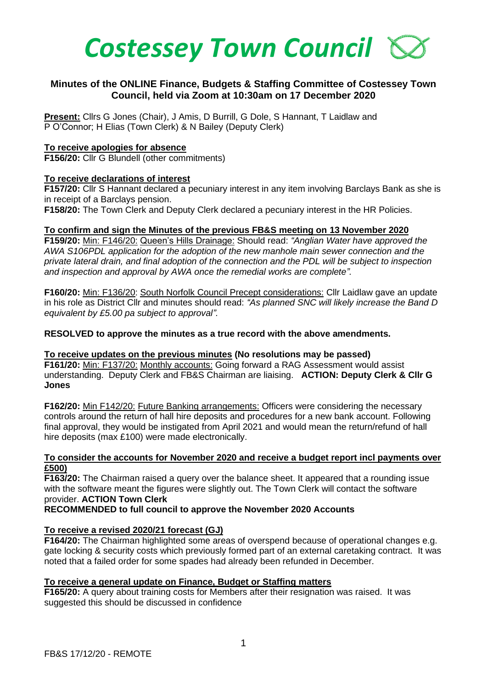

# **Minutes of the ONLINE Finance, Budgets & Staffing Committee of Costessey Town Council, held via Zoom at 10:30am on 17 December 2020**

**Present:** Cllrs G Jones (Chair), J Amis, D Burrill, G Dole, S Hannant, T Laidlaw and P O'Connor; H Elias (Town Clerk) & N Bailey (Deputy Clerk)

#### **To receive apologies for absence**

**F156/20:** Cllr G Blundell (other commitments)

#### **To receive declarations of interest**

**F157/20:** Cllr S Hannant declared a pecuniary interest in any item involving Barclays Bank as she is in receipt of a Barclays pension.

**F158/20:** The Town Clerk and Deputy Clerk declared a pecuniary interest in the HR Policies.

#### **To confirm and sign the Minutes of the previous FB&S meeting on 13 November 2020**

**F159/20:** Min: F146/20: Queen's Hills Drainage: Should read: *"Anglian Water have approved the AWA S106PDL application for the adoption of the new manhole main sewer connection and the private lateral drain, and final adoption of the connection and the PDL will be subject to inspection and inspection and approval by AWA once the remedial works are complete".*

**F160/20:** Min: F136/20: South Norfolk Council Precept considerations: Cllr Laidlaw gave an update in his role as District Cllr and minutes should read: *"As planned SNC will likely increase the Band D equivalent by £5.00 pa subject to approval".* 

**RESOLVED to approve the minutes as a true record with the above amendments.**

**To receive updates on the previous minutes (No resolutions may be passed) F161/20:** Min: F137/20: Monthly accounts: Going forward a RAG Assessment would assist understanding. Deputy Clerk and FB&S Chairman are liaising. **ACTION: Deputy Clerk & Cllr G Jones** 

**F162/20:** Min F142/20: Future Banking arrangements: Officers were considering the necessary controls around the return of hall hire deposits and procedures for a new bank account. Following final approval, they would be instigated from April 2021 and would mean the return/refund of hall hire deposits (max £100) were made electronically.

#### **To consider the accounts for November 2020 and receive a budget report incl payments over £500)**

**F163/20:** The Chairman raised a query over the balance sheet. It appeared that a rounding issue with the software meant the figures were slightly out. The Town Clerk will contact the software provider. **ACTION Town Clerk**

**RECOMMENDED to full council to approve the November 2020 Accounts** 

## **To receive a revised 2020/21 forecast (GJ)**

**F164/20:** The Chairman highlighted some areas of overspend because of operational changes e.g. gate locking & security costs which previously formed part of an external caretaking contract. It was noted that a failed order for some spades had already been refunded in December.

## **To receive a general update on Finance, Budget or Staffing matters**

**F165/20:** A query about training costs for Members after their resignation was raised. It was suggested this should be discussed in confidence